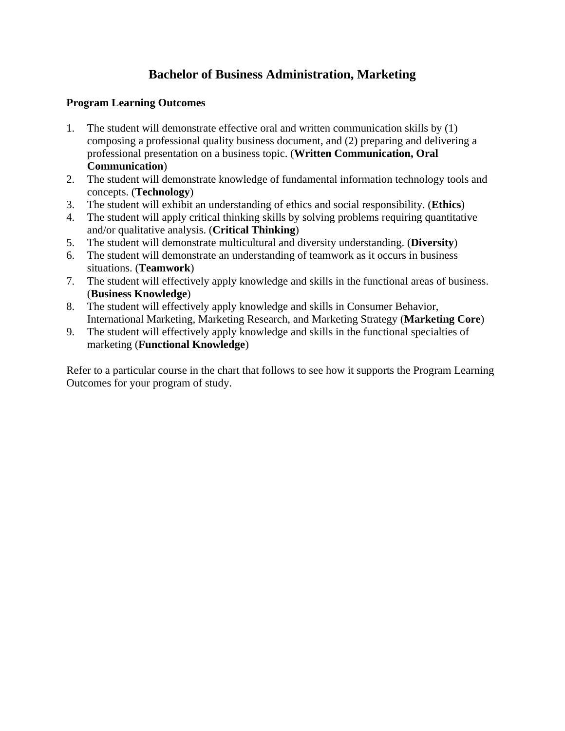## **Bachelor of Business Administration, Marketing**

## **Program Learning Outcomes**

- 1. The student will demonstrate effective oral and written communication skills by (1) composing a professional quality business document, and (2) preparing and delivering a professional presentation on a business topic. (**Written Communication, Oral Communication**)
- 2. The student will demonstrate knowledge of fundamental information technology tools and concepts. (**Technology**)
- 3. The student will exhibit an understanding of ethics and social responsibility. (**Ethics**)
- 4. The student will apply critical thinking skills by solving problems requiring quantitative and/or qualitative analysis. (**Critical Thinking**)
- 5. The student will demonstrate multicultural and diversity understanding. (**Diversity**)
- 6. The student will demonstrate an understanding of teamwork as it occurs in business situations. (**Teamwork**)
- 7. The student will effectively apply knowledge and skills in the functional areas of business. (**Business Knowledge**)
- 8. The student will effectively apply knowledge and skills in Consumer Behavior, International Marketing, Marketing Research, and Marketing Strategy (**Marketing Core**)
- 9. The student will effectively apply knowledge and skills in the functional specialties of marketing (**Functional Knowledge**)

Refer to a particular course in the chart that follows to see how it supports the Program Learning Outcomes for your program of study.